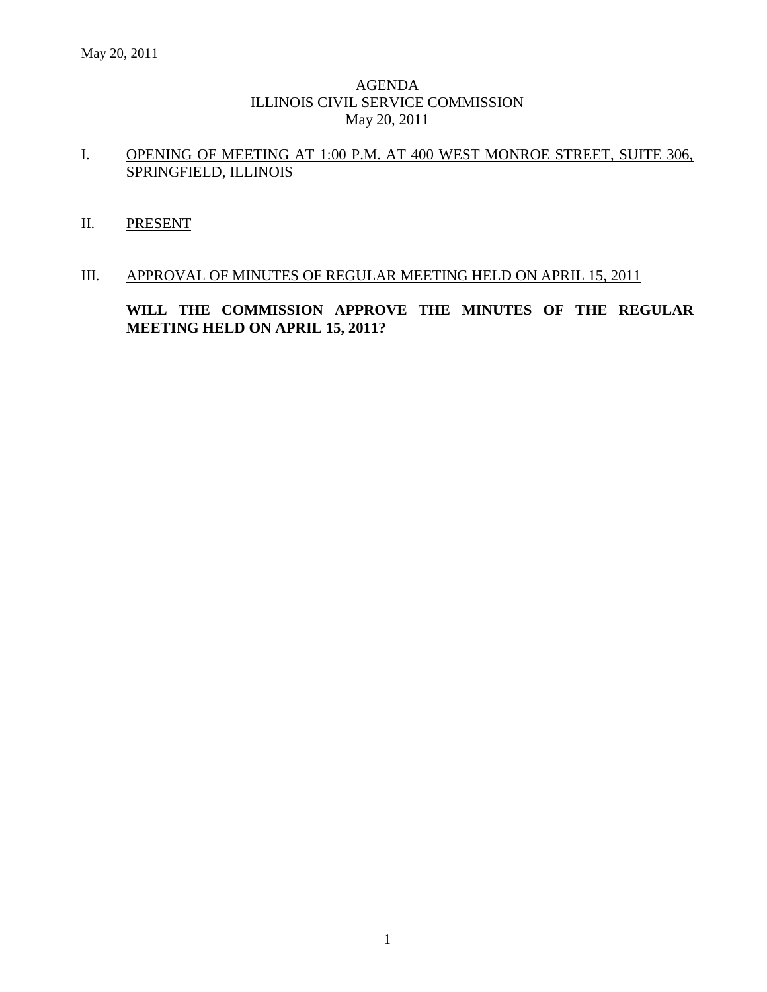### AGENDA ILLINOIS CIVIL SERVICE COMMISSION May 20, 2011

# I. OPENING OF MEETING AT 1:00 P.M. AT 400 WEST MONROE STREET, SUITE 306, SPRINGFIELD, ILLINOIS

II. PRESENT

#### III. APPROVAL OF MINUTES OF REGULAR MEETING HELD ON APRIL 15, 2011

**WILL THE COMMISSION APPROVE THE MINUTES OF THE REGULAR MEETING HELD ON APRIL 15, 2011?**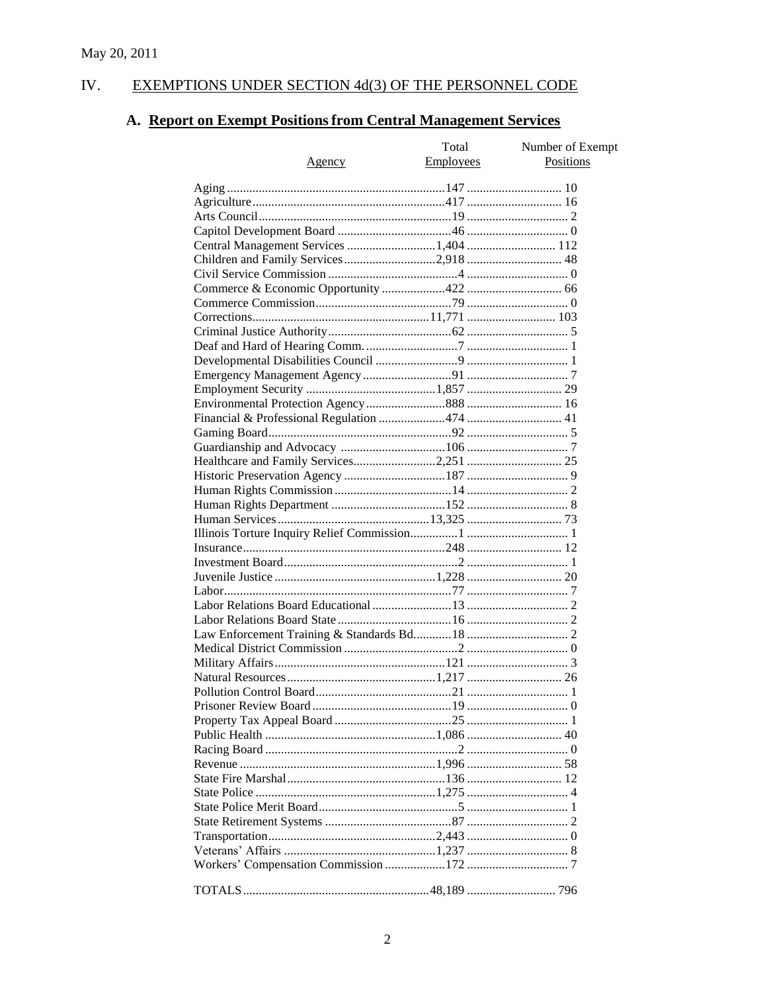#### IV. **EXEMPTIONS UNDER SECTION 4d(3) OF THE PERSONNEL CODE**

# A. Report on Exempt Positions from Central Management Services

|                                        | Total            | Number of Exempt |
|----------------------------------------|------------------|------------------|
| Agency                                 | <b>Employees</b> | Positions        |
|                                        |                  |                  |
|                                        |                  |                  |
|                                        |                  |                  |
|                                        |                  |                  |
|                                        |                  |                  |
| Central Management Services 1,404  112 |                  |                  |
| Children and Family Services2,918 48   |                  |                  |
|                                        |                  |                  |
|                                        |                  |                  |
|                                        |                  |                  |
|                                        |                  |                  |
|                                        |                  |                  |
|                                        |                  |                  |
|                                        |                  |                  |
|                                        |                  |                  |
|                                        |                  |                  |
|                                        |                  |                  |
|                                        |                  |                  |
|                                        |                  |                  |
|                                        |                  |                  |
|                                        |                  |                  |
|                                        |                  |                  |
|                                        |                  |                  |
|                                        |                  |                  |
|                                        |                  |                  |
|                                        |                  |                  |
|                                        |                  |                  |
|                                        |                  |                  |
|                                        |                  |                  |
|                                        |                  |                  |
|                                        |                  |                  |
|                                        |                  |                  |
|                                        |                  |                  |
|                                        |                  |                  |
|                                        |                  |                  |
|                                        |                  |                  |
|                                        |                  |                  |
|                                        |                  |                  |
|                                        |                  |                  |
|                                        |                  |                  |
|                                        |                  |                  |
|                                        |                  |                  |
|                                        |                  |                  |
|                                        |                  |                  |
|                                        |                  |                  |
|                                        |                  |                  |
|                                        |                  |                  |
|                                        |                  |                  |
|                                        |                  |                  |
|                                        |                  |                  |
|                                        |                  |                  |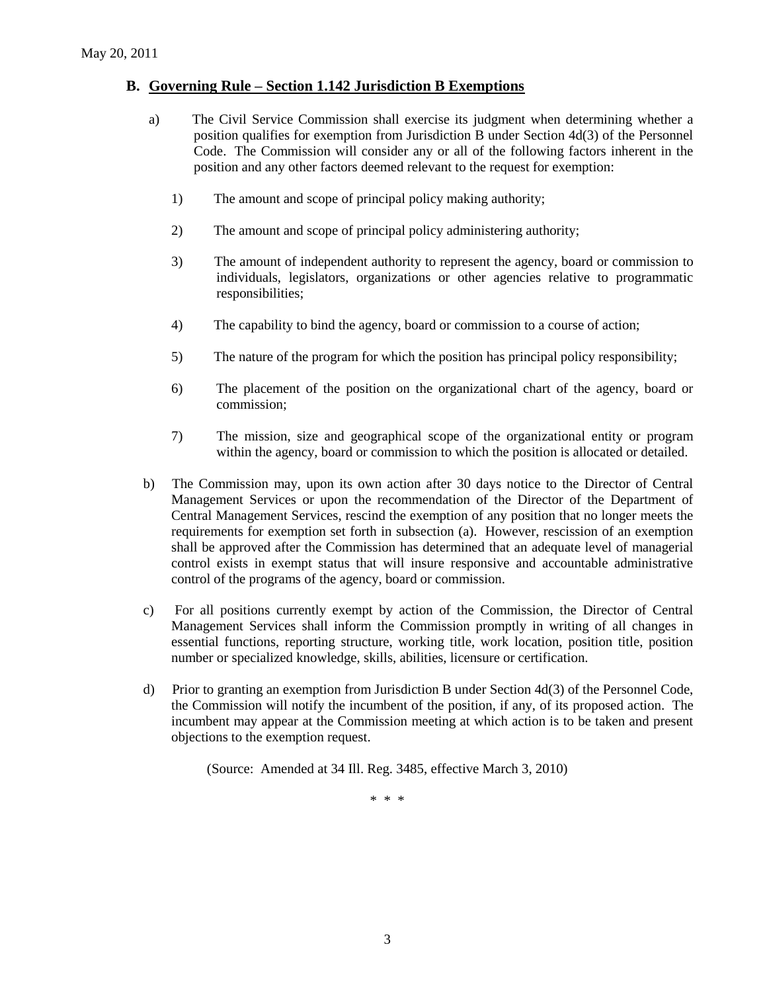#### **B. Governing Rule – Section 1.142 Jurisdiction B Exemptions**

- a) The Civil Service Commission shall exercise its judgment when determining whether a position qualifies for exemption from Jurisdiction B under Section 4d(3) of the Personnel Code. The Commission will consider any or all of the following factors inherent in the position and any other factors deemed relevant to the request for exemption:
	- 1) The amount and scope of principal policy making authority;
	- 2) The amount and scope of principal policy administering authority;
	- 3) The amount of independent authority to represent the agency, board or commission to individuals, legislators, organizations or other agencies relative to programmatic responsibilities;
	- 4) The capability to bind the agency, board or commission to a course of action;
	- 5) The nature of the program for which the position has principal policy responsibility;
	- 6) The placement of the position on the organizational chart of the agency, board or commission;
	- 7) The mission, size and geographical scope of the organizational entity or program within the agency, board or commission to which the position is allocated or detailed.
- b) The Commission may, upon its own action after 30 days notice to the Director of Central Management Services or upon the recommendation of the Director of the Department of Central Management Services, rescind the exemption of any position that no longer meets the requirements for exemption set forth in subsection (a). However, rescission of an exemption shall be approved after the Commission has determined that an adequate level of managerial control exists in exempt status that will insure responsive and accountable administrative control of the programs of the agency, board or commission.
- c) For all positions currently exempt by action of the Commission, the Director of Central Management Services shall inform the Commission promptly in writing of all changes in essential functions, reporting structure, working title, work location, position title, position number or specialized knowledge, skills, abilities, licensure or certification.
- d) Prior to granting an exemption from Jurisdiction B under Section 4d(3) of the Personnel Code, the Commission will notify the incumbent of the position, if any, of its proposed action. The incumbent may appear at the Commission meeting at which action is to be taken and present objections to the exemption request.

(Source: Amended at 34 Ill. Reg. 3485, effective March 3, 2010)

\* \* \*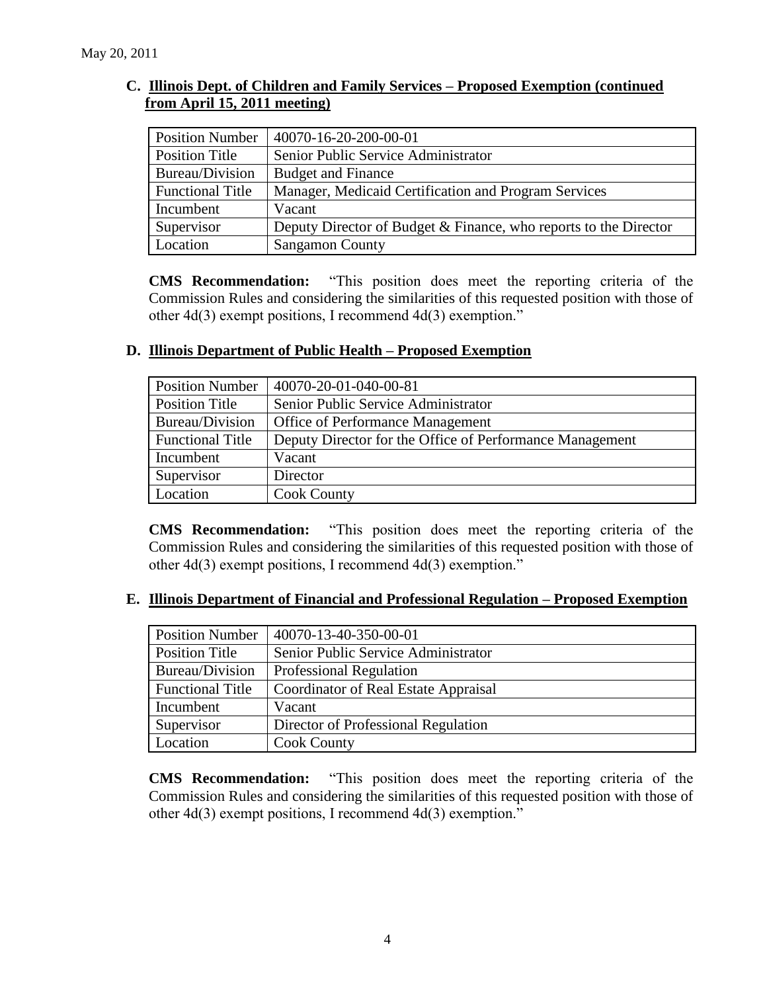## **C. Illinois Dept. of Children and Family Services – Proposed Exemption (continued from April 15, 2011 meeting)**

| <b>Position Number</b>  | 40070-16-20-200-00-01                                            |
|-------------------------|------------------------------------------------------------------|
| Position Title          | Senior Public Service Administrator                              |
| Bureau/Division         | <b>Budget and Finance</b>                                        |
| <b>Functional Title</b> | Manager, Medicaid Certification and Program Services             |
| Incumbent               | Vacant                                                           |
| Supervisor              | Deputy Director of Budget & Finance, who reports to the Director |
| Location                | <b>Sangamon County</b>                                           |

**CMS Recommendation:** "This position does meet the reporting criteria of the Commission Rules and considering the similarities of this requested position with those of other 4d(3) exempt positions, I recommend 4d(3) exemption."

## **D. Illinois Department of Public Health – Proposed Exemption**

| <b>Position Number</b>  | 40070-20-01-040-00-81                                    |
|-------------------------|----------------------------------------------------------|
| <b>Position Title</b>   | Senior Public Service Administrator                      |
| Bureau/Division         | Office of Performance Management                         |
| <b>Functional Title</b> | Deputy Director for the Office of Performance Management |
| Incumbent               | Vacant                                                   |
| Supervisor              | Director                                                 |
| Location                | <b>Cook County</b>                                       |

**CMS Recommendation:** "This position does meet the reporting criteria of the Commission Rules and considering the similarities of this requested position with those of other 4d(3) exempt positions, I recommend 4d(3) exemption."

## **E. Illinois Department of Financial and Professional Regulation – Proposed Exemption**

| <b>Position Number</b>  | 40070-13-40-350-00-01                |  |
|-------------------------|--------------------------------------|--|
| Position Title          | Senior Public Service Administrator  |  |
| Bureau/Division         | <b>Professional Regulation</b>       |  |
| <b>Functional Title</b> | Coordinator of Real Estate Appraisal |  |
| Incumbent               | Vacant                               |  |
| Supervisor              | Director of Professional Regulation  |  |
| Location                | <b>Cook County</b>                   |  |

**CMS Recommendation:** "This position does meet the reporting criteria of the Commission Rules and considering the similarities of this requested position with those of other 4d(3) exempt positions, I recommend 4d(3) exemption."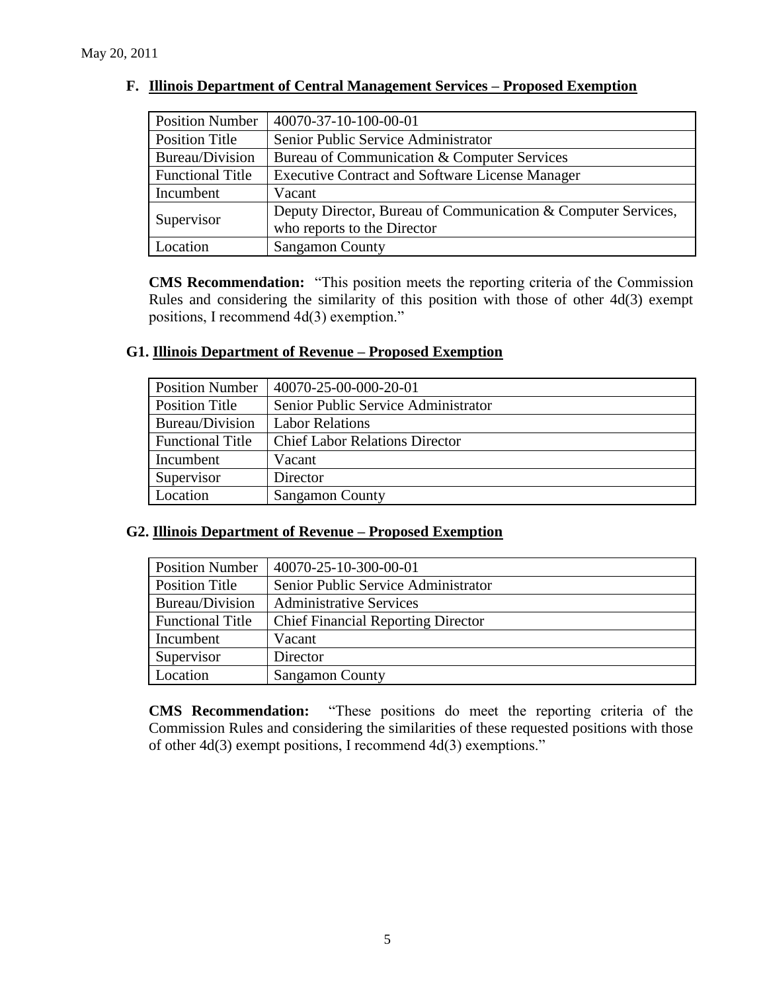| <b>Position Number</b>  | 40070-37-10-100-00-01                                         |  |  |
|-------------------------|---------------------------------------------------------------|--|--|
| <b>Position Title</b>   | Senior Public Service Administrator                           |  |  |
| <b>Bureau/Division</b>  | Bureau of Communication & Computer Services                   |  |  |
| <b>Functional Title</b> | <b>Executive Contract and Software License Manager</b>        |  |  |
| Incumbent               | Vacant                                                        |  |  |
| Supervisor              | Deputy Director, Bureau of Communication & Computer Services, |  |  |
|                         | who reports to the Director                                   |  |  |
| ocation                 | <b>Sangamon County</b>                                        |  |  |

#### **F. Illinois Department of Central Management Services – Proposed Exemption**

**CMS Recommendation:** "This position meets the reporting criteria of the Commission Rules and considering the similarity of this position with those of other 4d(3) exempt positions, I recommend 4d(3) exemption."

#### **G1. Illinois Department of Revenue – Proposed Exemption**

| <b>Position Number</b>  | 40070-25-00-000-20-01                 |  |
|-------------------------|---------------------------------------|--|
| <b>Position Title</b>   | Senior Public Service Administrator   |  |
| Bureau/Division         | <b>Labor Relations</b>                |  |
| <b>Functional Title</b> | <b>Chief Labor Relations Director</b> |  |
| Incumbent               | Vacant                                |  |
| Supervisor              | Director                              |  |
| Location                | <b>Sangamon County</b>                |  |

#### **G2. Illinois Department of Revenue – Proposed Exemption**

| <b>Position Number</b>  | 40070-25-10-300-00-01                     |  |
|-------------------------|-------------------------------------------|--|
| Position Title          | Senior Public Service Administrator       |  |
| Bureau/Division         | <b>Administrative Services</b>            |  |
| <b>Functional Title</b> | <b>Chief Financial Reporting Director</b> |  |
| Incumbent               | Vacant                                    |  |
| Supervisor              | Director                                  |  |
| Location                | <b>Sangamon County</b>                    |  |

**CMS Recommendation:** "These positions do meet the reporting criteria of the Commission Rules and considering the similarities of these requested positions with those of other 4d(3) exempt positions, I recommend 4d(3) exemptions."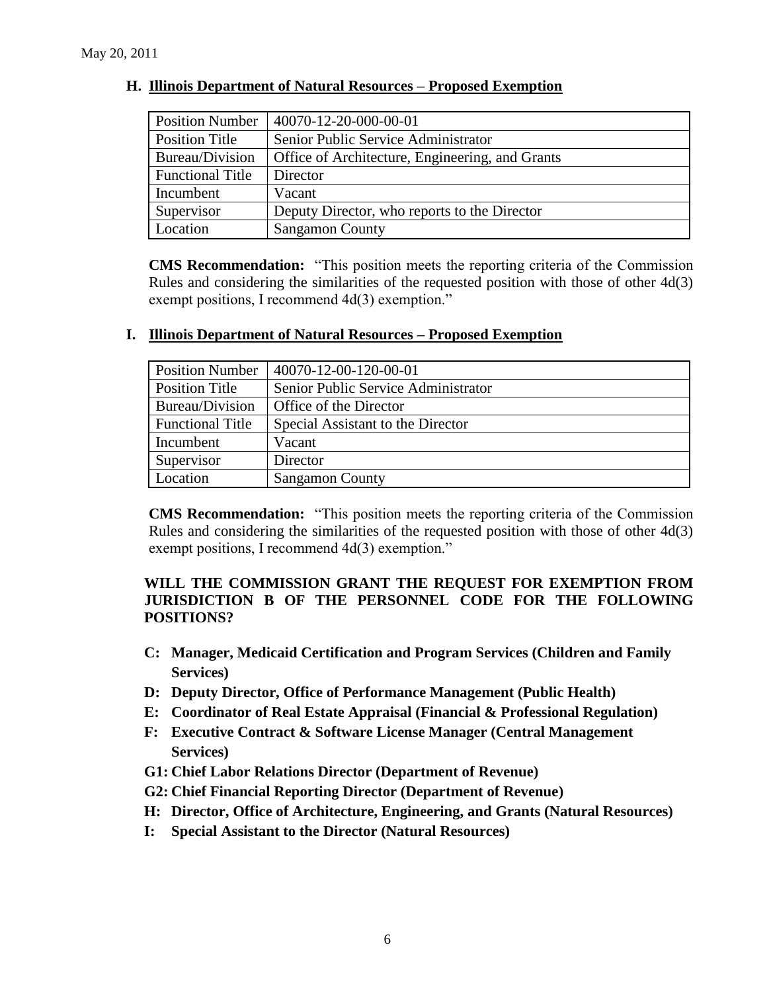| <b>Position Number</b>  | 40070-12-20-000-00-01                           |  |
|-------------------------|-------------------------------------------------|--|
| Position Title          | Senior Public Service Administrator             |  |
| Bureau/Division         | Office of Architecture, Engineering, and Grants |  |
| <b>Functional Title</b> | Director                                        |  |
| Incumbent               | Vacant                                          |  |
| Supervisor              | Deputy Director, who reports to the Director    |  |
| Location                | <b>Sangamon County</b>                          |  |

#### **H. Illinois Department of Natural Resources – Proposed Exemption**

**CMS Recommendation:** "This position meets the reporting criteria of the Commission Rules and considering the similarities of the requested position with those of other 4d(3) exempt positions, I recommend 4d(3) exemption."

| <b>Position Number</b>  | 40070-12-00-120-00-01               |  |
|-------------------------|-------------------------------------|--|
| <b>Position Title</b>   | Senior Public Service Administrator |  |
| Bureau/Division         | Office of the Director              |  |
| <b>Functional Title</b> | Special Assistant to the Director   |  |
| Incumbent               | Vacant                              |  |
| Supervisor              | Director                            |  |
| Location                | <b>Sangamon County</b>              |  |

#### **I. Illinois Department of Natural Resources – Proposed Exemption**

**CMS Recommendation:** "This position meets the reporting criteria of the Commission Rules and considering the similarities of the requested position with those of other 4d(3) exempt positions, I recommend 4d(3) exemption."

## **WILL THE COMMISSION GRANT THE REQUEST FOR EXEMPTION FROM JURISDICTION B OF THE PERSONNEL CODE FOR THE FOLLOWING POSITIONS?**

- **C: Manager, Medicaid Certification and Program Services (Children and Family Services)**
- **D: Deputy Director, Office of Performance Management (Public Health)**
- **E: Coordinator of Real Estate Appraisal (Financial & Professional Regulation)**
- **F: Executive Contract & Software License Manager (Central Management Services)**
- **G1: Chief Labor Relations Director (Department of Revenue)**
- **G2: Chief Financial Reporting Director (Department of Revenue)**
- **H: Director, Office of Architecture, Engineering, and Grants (Natural Resources)**
- **I: Special Assistant to the Director (Natural Resources)**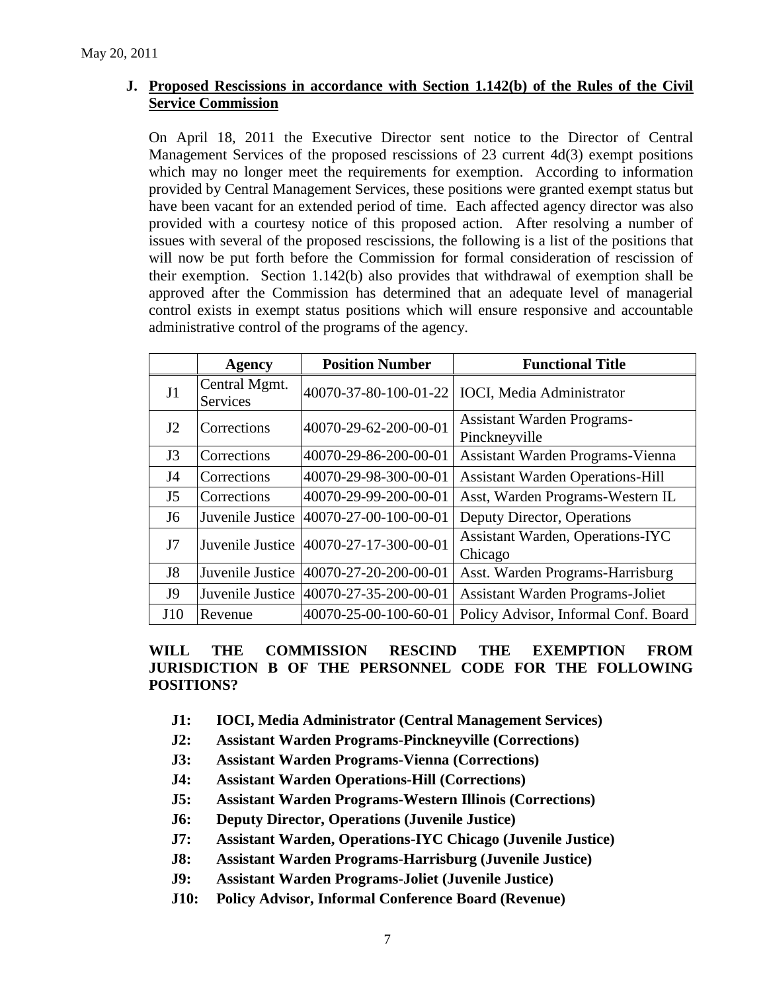## **J. Proposed Rescissions in accordance with Section 1.142(b) of the Rules of the Civil Service Commission**

On April 18, 2011 the Executive Director sent notice to the Director of Central Management Services of the proposed rescissions of 23 current 4d(3) exempt positions which may no longer meet the requirements for exemption. According to information provided by Central Management Services, these positions were granted exempt status but have been vacant for an extended period of time. Each affected agency director was also provided with a courtesy notice of this proposed action. After resolving a number of issues with several of the proposed rescissions, the following is a list of the positions that will now be put forth before the Commission for formal consideration of rescission of their exemption. Section 1.142(b) also provides that withdrawal of exemption shall be approved after the Commission has determined that an adequate level of managerial control exists in exempt status positions which will ensure responsive and accountable administrative control of the programs of the agency.

|                | Agency                           | <b>Position Number</b>              | <b>Functional Title</b>                            |  |
|----------------|----------------------------------|-------------------------------------|----------------------------------------------------|--|
| J <sub>1</sub> | Central Mgmt.<br><b>Services</b> | 40070-37-80-100-01-22               | <b>IOCI</b> , Media Administrator                  |  |
| J2             | Corrections                      | 40070-29-62-200-00-01               | <b>Assistant Warden Programs-</b><br>Pinckneyville |  |
| J3             | Corrections                      | 40070-29-86-200-00-01               | Assistant Warden Programs-Vienna                   |  |
| J4             | Corrections                      | 40070-29-98-300-00-01               | <b>Assistant Warden Operations-Hill</b>            |  |
| J <sub>5</sub> | Corrections                      | 40070-29-99-200-00-01               | Asst, Warden Programs-Western IL                   |  |
| J <sub>6</sub> | Juvenile Justice                 | 40070-27-00-100-00-01               | Deputy Director, Operations                        |  |
| J7             | Juvenile Justice                 | 40070-27-17-300-00-01               | <b>Assistant Warden, Operations-IYC</b><br>Chicago |  |
| J <sub>8</sub> | Juvenile Justice                 | 40070-27-20-200-00-01               | Asst. Warden Programs-Harrisburg                   |  |
| <b>J9</b>      | Juvenile Justice                 | $ 40070 - 27 - 35 - 200 - 00 - 01 $ | <b>Assistant Warden Programs-Joliet</b>            |  |
| J10            | Revenue                          | 40070-25-00-100-60-01               | Policy Advisor, Informal Conf. Board               |  |

**WILL THE COMMISSION RESCIND THE EXEMPTION FROM JURISDICTION B OF THE PERSONNEL CODE FOR THE FOLLOWING POSITIONS?**

- **J1: IOCI, Media Administrator (Central Management Services)**
- **J2: Assistant Warden Programs-Pinckneyville (Corrections)**
- **J3: Assistant Warden Programs-Vienna (Corrections)**
- **J4: Assistant Warden Operations-Hill (Corrections)**
- **J5: Assistant Warden Programs-Western Illinois (Corrections)**
- **J6: Deputy Director, Operations (Juvenile Justice)**
- **J7: Assistant Warden, Operations-IYC Chicago (Juvenile Justice)**
- **J8: Assistant Warden Programs-Harrisburg (Juvenile Justice)**
- **J9: Assistant Warden Programs-Joliet (Juvenile Justice)**
- **J10: Policy Advisor, Informal Conference Board (Revenue)**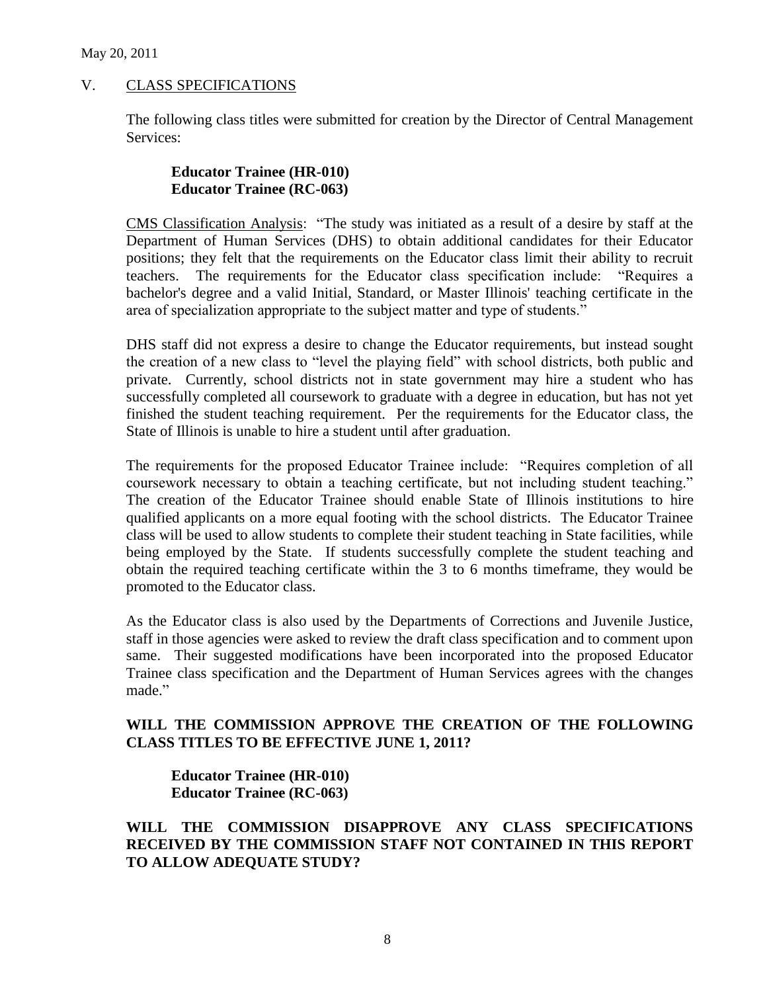## V. CLASS SPECIFICATIONS

The following class titles were submitted for creation by the Director of Central Management Services:

#### **Educator Trainee (HR-010) Educator Trainee (RC-063)**

CMS Classification Analysis: "The study was initiated as a result of a desire by staff at the Department of Human Services (DHS) to obtain additional candidates for their Educator positions; they felt that the requirements on the Educator class limit their ability to recruit teachers. The requirements for the Educator class specification include: "Requires a bachelor's degree and a valid Initial, Standard, or Master Illinois' teaching certificate in the area of specialization appropriate to the subject matter and type of students."

DHS staff did not express a desire to change the Educator requirements, but instead sought the creation of a new class to "level the playing field" with school districts, both public and private. Currently, school districts not in state government may hire a student who has successfully completed all coursework to graduate with a degree in education, but has not yet finished the student teaching requirement. Per the requirements for the Educator class, the State of Illinois is unable to hire a student until after graduation.

The requirements for the proposed Educator Trainee include: "Requires completion of all coursework necessary to obtain a teaching certificate, but not including student teaching." The creation of the Educator Trainee should enable State of Illinois institutions to hire qualified applicants on a more equal footing with the school districts. The Educator Trainee class will be used to allow students to complete their student teaching in State facilities, while being employed by the State. If students successfully complete the student teaching and obtain the required teaching certificate within the 3 to 6 months timeframe, they would be promoted to the Educator class.

As the Educator class is also used by the Departments of Corrections and Juvenile Justice, staff in those agencies were asked to review the draft class specification and to comment upon same. Their suggested modifications have been incorporated into the proposed Educator Trainee class specification and the Department of Human Services agrees with the changes made."

## **WILL THE COMMISSION APPROVE THE CREATION OF THE FOLLOWING CLASS TITLES TO BE EFFECTIVE JUNE 1, 2011?**

**Educator Trainee (HR-010) Educator Trainee (RC-063)**

**WILL THE COMMISSION DISAPPROVE ANY CLASS SPECIFICATIONS RECEIVED BY THE COMMISSION STAFF NOT CONTAINED IN THIS REPORT TO ALLOW ADEQUATE STUDY?**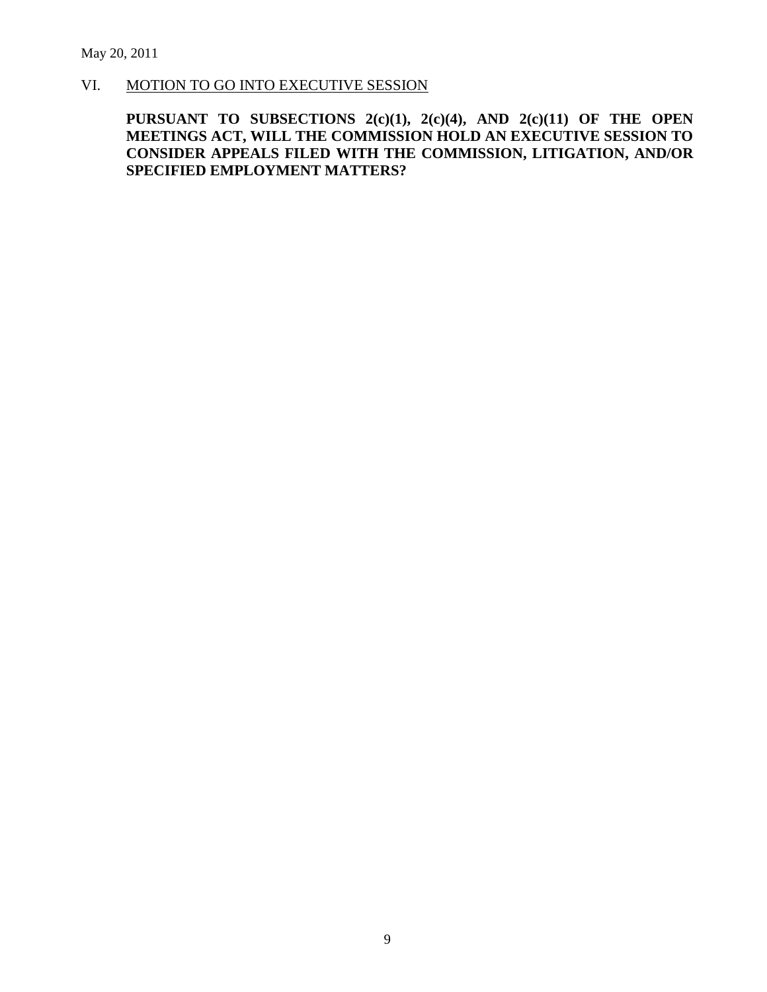# VI. MOTION TO GO INTO EXECUTIVE SESSION

## **PURSUANT TO SUBSECTIONS 2(c)(1), 2(c)(4), AND 2(c)(11) OF THE OPEN MEETINGS ACT, WILL THE COMMISSION HOLD AN EXECUTIVE SESSION TO CONSIDER APPEALS FILED WITH THE COMMISSION, LITIGATION, AND/OR SPECIFIED EMPLOYMENT MATTERS?**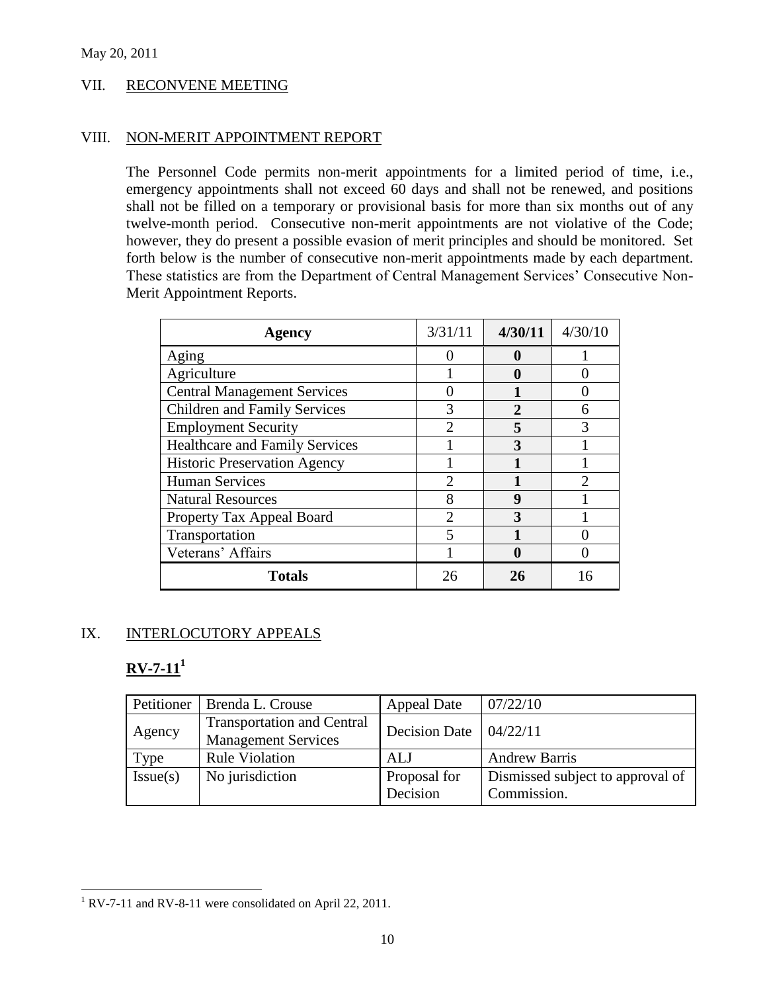#### VII. RECONVENE MEETING

#### VIII. NON-MERIT APPOINTMENT REPORT

The Personnel Code permits non-merit appointments for a limited period of time, i.e., emergency appointments shall not exceed 60 days and shall not be renewed, and positions shall not be filled on a temporary or provisional basis for more than six months out of any twelve-month period. Consecutive non-merit appointments are not violative of the Code; however, they do present a possible evasion of merit principles and should be monitored. Set forth below is the number of consecutive non-merit appointments made by each department. These statistics are from the Department of Central Management Services' Consecutive Non-Merit Appointment Reports.

| Agency                                | 3/31/11                     | 4/30/11      | 4/30/10 |
|---------------------------------------|-----------------------------|--------------|---------|
| Aging                                 |                             | 0            |         |
| Agriculture                           |                             |              |         |
| <b>Central Management Services</b>    |                             |              |         |
| Children and Family Services          |                             | $\mathbf{c}$ |         |
| <b>Employment Security</b>            |                             |              |         |
| <b>Healthcare and Family Services</b> |                             | 3            |         |
| <b>Historic Preservation Agency</b>   |                             |              |         |
| <b>Human Services</b>                 | $\mathcal{D}_{\mathcal{A}}$ |              | っ       |
| <b>Natural Resources</b>              | 8                           | 9            |         |
| Property Tax Appeal Board             | $\mathcal{D}$               | 3            |         |
| Transportation                        |                             |              |         |
| Veterans' Affairs                     |                             |              |         |
| <b>Totals</b>                         |                             | 26           |         |

## IX. INTERLOCUTORY APPEALS

# **RV-7-11<sup>1</sup>**

| Petitioner | Brenda L. Crouse                                                | <b>Appeal Date</b>       | 07/22/10                                        |
|------------|-----------------------------------------------------------------|--------------------------|-------------------------------------------------|
| Agency     | <b>Transportation and Central</b><br><b>Management Services</b> | <b>Decision Date</b>     | 104/22/11                                       |
| Type       | <b>Rule Violation</b>                                           | ALJ                      | <b>Andrew Barris</b>                            |
| Issue(s)   | No jurisdiction                                                 | Proposal for<br>Decision | Dismissed subject to approval of<br>Commission. |

 $1$  RV-7-11 and RV-8-11 were consolidated on April 22, 2011.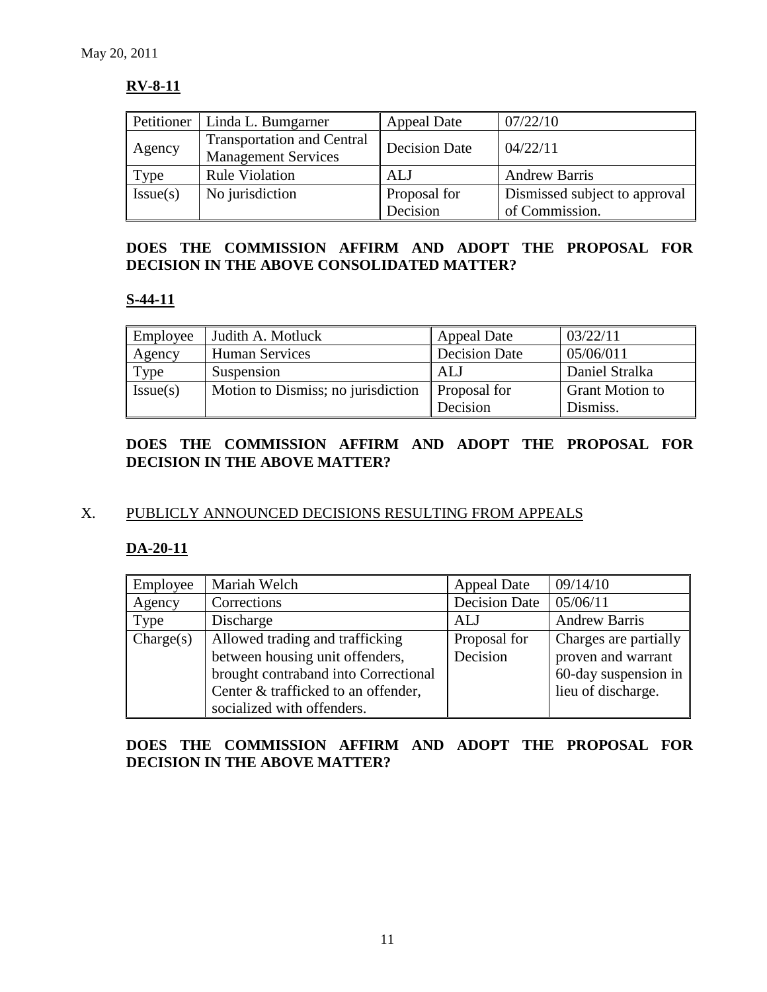## **RV-8-11**

| Petitioner | Linda L. Bumgarner                                              | <b>Appeal Date</b>   | 07/22/10                      |
|------------|-----------------------------------------------------------------|----------------------|-------------------------------|
| Agency     | <b>Transportation and Central</b><br><b>Management Services</b> | <b>Decision Date</b> | 04/22/11                      |
| Type       | <b>Rule Violation</b>                                           | ALJ                  | <b>Andrew Barris</b>          |
| Issue(s)   | No jurisdiction                                                 | Proposal for         | Dismissed subject to approval |
|            |                                                                 | Decision             | of Commission.                |

## **DOES THE COMMISSION AFFIRM AND ADOPT THE PROPOSAL FOR DECISION IN THE ABOVE CONSOLIDATED MATTER?**

# **S-44-11**

| Employee | Judith A. Motluck                  | <b>Appeal Date</b>   | 03/22/11               |
|----------|------------------------------------|----------------------|------------------------|
| Agency   | <b>Human Services</b>              | <b>Decision Date</b> | 05/06/011              |
| Type     | Suspension                         | ALJ                  | Daniel Stralka         |
| Issue(s) | Motion to Dismiss; no jurisdiction | Proposal for         | <b>Grant Motion to</b> |
|          |                                    | Decision             | Dismiss.               |

## **DOES THE COMMISSION AFFIRM AND ADOPT THE PROPOSAL FOR DECISION IN THE ABOVE MATTER?**

# X. PUBLICLY ANNOUNCED DECISIONS RESULTING FROM APPEALS

## **DA-20-11**

| Employee  | Mariah Welch                         | <b>Appeal Date</b>   | 09/14/10              |
|-----------|--------------------------------------|----------------------|-----------------------|
| Agency    | Corrections                          | <b>Decision Date</b> | 05/06/11              |
| Type      | Discharge                            | ALJ                  | <b>Andrew Barris</b>  |
| Change(s) | Allowed trading and trafficking      | Proposal for         | Charges are partially |
|           | between housing unit offenders,      | Decision             | proven and warrant    |
|           | brought contraband into Correctional |                      | 60-day suspension in  |
|           | Center & trafficked to an offender,  |                      | lieu of discharge.    |
|           | socialized with offenders.           |                      |                       |

## **DOES THE COMMISSION AFFIRM AND ADOPT THE PROPOSAL FOR DECISION IN THE ABOVE MATTER?**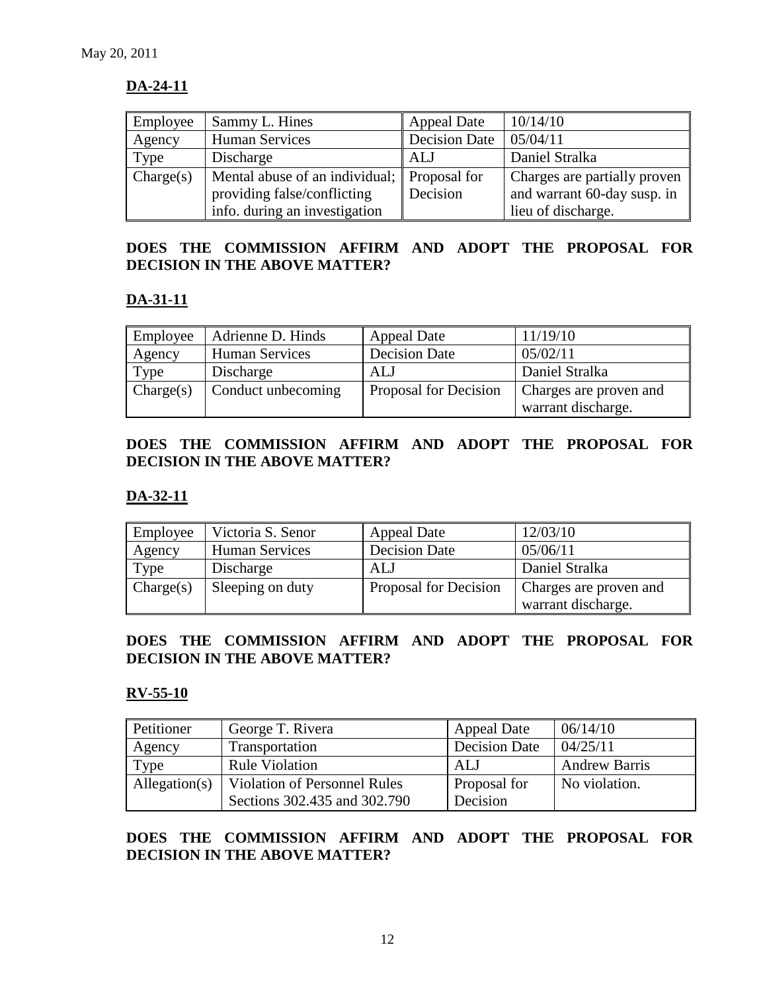## **DA-24-11**

| Employee  | Sammy L. Hines                              | <b>Appeal Date</b>   | 10/14/10                     |
|-----------|---------------------------------------------|----------------------|------------------------------|
| Agency    | <b>Human Services</b>                       | <b>Decision Date</b> | 05/04/11                     |
| Type      | Discharge                                   | ALJ                  | Daniel Stralka               |
| Change(s) | Mental abuse of an individual; Proposal for |                      | Charges are partially proven |
|           | providing false/conflicting                 | Decision             | and warrant 60-day susp. in  |
|           | info. during an investigation               |                      | lieu of discharge.           |

## **DOES THE COMMISSION AFFIRM AND ADOPT THE PROPOSAL FOR DECISION IN THE ABOVE MATTER?**

# **DA-31-11**

| Employee  | Adrienne D. Hinds     | <b>Appeal Date</b>    | 11/19/10               |
|-----------|-----------------------|-----------------------|------------------------|
| Agency    | <b>Human Services</b> | <b>Decision Date</b>  | 05/02/11               |
| Type      | Discharge             | ALJ                   | Daniel Stralka         |
| Change(s) | Conduct unbecoming    | Proposal for Decision | Charges are proven and |
|           |                       |                       | warrant discharge.     |

## **DOES THE COMMISSION AFFIRM AND ADOPT THE PROPOSAL FOR DECISION IN THE ABOVE MATTER?**

## **DA-32-11**

| Employee  | Victoria S. Senor     | <b>Appeal Date</b>    | 12/03/10               |
|-----------|-----------------------|-----------------------|------------------------|
| Agency    | <b>Human Services</b> | <b>Decision Date</b>  | 05/06/11               |
| Type      | Discharge             | ALJ                   | Daniel Stralka         |
| Change(s) | Sleeping on duty      | Proposal for Decision | Charges are proven and |
|           |                       |                       | warrant discharge.     |

## **DOES THE COMMISSION AFFIRM AND ADOPT THE PROPOSAL FOR DECISION IN THE ABOVE MATTER?**

#### **RV-55-10**

| Petitioner    | George T. Rivera                    | <b>Appeal Date</b>   | 06/14/10             |
|---------------|-------------------------------------|----------------------|----------------------|
| Agency        | Transportation                      | <b>Decision Date</b> | 04/25/11             |
| Type          | <b>Rule Violation</b>               | ALJ                  | <b>Andrew Barris</b> |
| Allegation(s) | <b>Violation of Personnel Rules</b> | Proposal for         | No violation.        |
|               | Sections 302.435 and 302.790        | Decision             |                      |

## **DOES THE COMMISSION AFFIRM AND ADOPT THE PROPOSAL FOR DECISION IN THE ABOVE MATTER?**